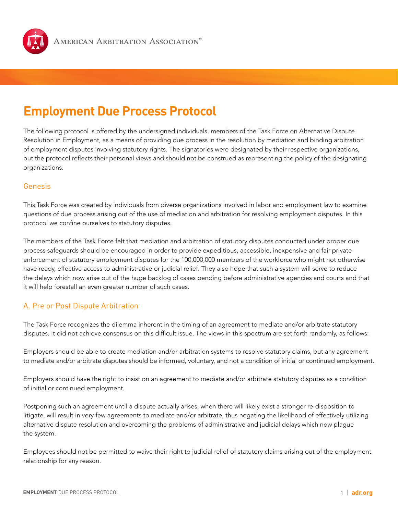

# **Employment Due Process Protocol**

The following protocol is offered by the undersigned individuals, members of the Task Force on Alternative Dispute Resolution in Employment, as a means of providing due process in the resolution by mediation and binding arbitration of employment disputes involving statutory rights. The signatories were designated by their respective organizations, but the protocol reflects their personal views and should not be construed as representing the policy of the designating organizations.

## Genesis

This Task Force was created by individuals from diverse organizations involved in labor and employment law to examine questions of due process arising out of the use of mediation and arbitration for resolving employment disputes. In this protocol we confine ourselves to statutory disputes.

The members of the Task Force felt that mediation and arbitration of statutory disputes conducted under proper due process safeguards should be encouraged in order to provide expeditious, accessible, inexpensive and fair private enforcement of statutory employment disputes for the 100,000,000 members of the workforce who might not otherwise have ready, effective access to administrative or judicial relief. They also hope that such a system will serve to reduce the delays which now arise out of the huge backlog of cases pending before administrative agencies and courts and that it will help forestall an even greater number of such cases.

# A. Pre or Post Dispute Arbitration

The Task Force recognizes the dilemma inherent in the timing of an agreement to mediate and/or arbitrate statutory disputes. It did not achieve consensus on this difficult issue. The views in this spectrum are set forth randomly, as follows:

Employers should be able to create mediation and/or arbitration systems to resolve statutory claims, but any agreement to mediate and/or arbitrate disputes should be informed, voluntary, and not a condition of initial or continued employment.

Employers should have the right to insist on an agreement to mediate and/or arbitrate statutory disputes as a condition of initial or continued employment.

Postponing such an agreement until a dispute actually arises, when there will likely exist a stronger re-disposition to litigate, will result in very few agreements to mediate and/or arbitrate, thus negating the likelihood of effectively utilizing alternative dispute resolution and overcoming the problems of administrative and judicial delays which now plague the system.

Employees should not be permitted to waive their right to judicial relief of statutory claims arising out of the employment relationship for any reason.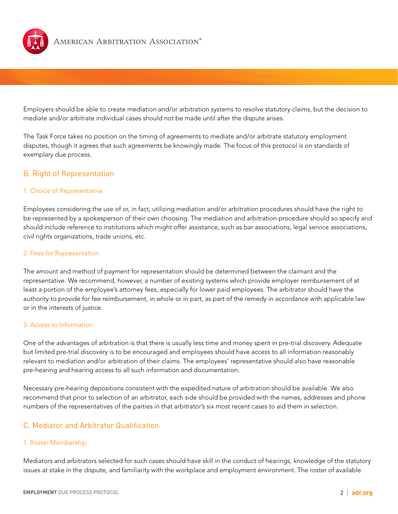

Employers should be able to create mediation and/or arbitration systems to resolve statutory claims, but the decision to mediate and/or arbitrate individual cases should not be made until after the dispute arises.

The Task Force takes no position on the timing of agreements to mediate and/or arbitrate statutory employment disputes, though it agrees that such agreements be knowingly made. The focus of this protocol is on standards of exemplary due process.

## B. Right of Representation

#### 1. Choice of Representative

Employees considering the use of or, in fact, utilizing mediation and/or arbitration procedures should have the right to be represented by a spokesperson of their own choosing. The mediation and arbitration procedure should so specify and should include reference to institutions which might offer assistance, such as bar associations, legal service associations, civil rights organizations, trade unions, etc.

#### 2. Fees for Representation

The amount and method of payment for representation should be determined between the claimant and the representative. We recommend, however, a number of existing systems which provide employer reimbursement of at least a portion of the employee's attorney fees, especially for lower paid employees. The arbitrator should have the authority to provide for fee reimbursement, in whole or in part, as part of the remedy in accordance with applicable law or in the interests of justice.

#### 3. Access to Information

One of the advantages of arbitration is that there is usually less time and money spent in pre-trial discovery. Adequate but limited pre-trial discovery is to be encouraged and employees should have access to all information reasonably relevant to mediation and/or arbitration of their claims. The employees' representative should also have reasonable pre-hearing and hearing access to all such information and documentation.

Necessary pre-hearing depositions consistent with the expedited nature of arbitration should be available. We also recommend that prior to selection of an arbitrator, each side should be provided with the names, addresses and phone numbers of the representatives of the parties in that arbitrator's six most recent cases to aid them in selection.

# C. Mediator and Arbitrator Qualification

#### 1. Roster Membership

Mediators and arbitrators selected for such cases should have skill in the conduct of hearings, knowledge of the statutory issues at stake in the dispute, and familiarity with the workplace and employment environment. The roster of available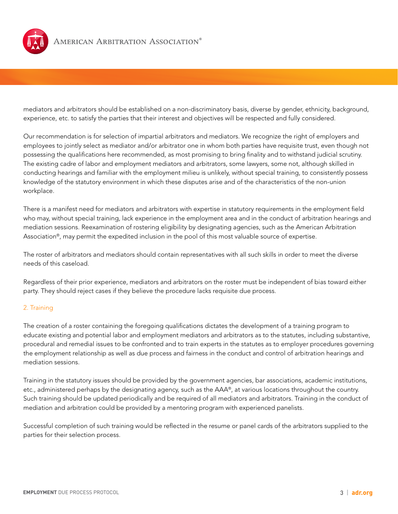

mediators and arbitrators should be established on a non-discriminatory basis, diverse by gender, ethnicity, background, experience, etc. to satisfy the parties that their interest and objectives will be respected and fully considered.

Our recommendation is for selection of impartial arbitrators and mediators. We recognize the right of employers and employees to jointly select as mediator and/or arbitrator one in whom both parties have requisite trust, even though not possessing the qualifications here recommended, as most promising to bring finality and to withstand judicial scrutiny. The existing cadre of labor and employment mediators and arbitrators, some lawyers, some not, although skilled in conducting hearings and familiar with the employment milieu is unlikely, without special training, to consistently possess knowledge of the statutory environment in which these disputes arise and of the characteristics of the non-union workplace.

There is a manifest need for mediators and arbitrators with expertise in statutory requirements in the employment field who may, without special training, lack experience in the employment area and in the conduct of arbitration hearings and mediation sessions. Reexamination of rostering eligibility by designating agencies, such as the American Arbitration Association®, may permit the expedited inclusion in the pool of this most valuable source of expertise.

The roster of arbitrators and mediators should contain representatives with all such skills in order to meet the diverse needs of this caseload.

Regardless of their prior experience, mediators and arbitrators on the roster must be independent of bias toward either party. They should reject cases if they believe the procedure lacks requisite due process.

#### 2. Training

The creation of a roster containing the foregoing qualifications dictates the development of a training program to educate existing and potential labor and employment mediators and arbitrators as to the statutes, including substantive, procedural and remedial issues to be confronted and to train experts in the statutes as to employer procedures governing the employment relationship as well as due process and fairness in the conduct and control of arbitration hearings and mediation sessions.

Training in the statutory issues should be provided by the government agencies, bar associations, academic institutions, etc., administered perhaps by the designating agency, such as the AAA®, at various locations throughout the country. Such training should be updated periodically and be required of all mediators and arbitrators. Training in the conduct of mediation and arbitration could be provided by a mentoring program with experienced panelists.

Successful completion of such training would be reflected in the resume or panel cards of the arbitrators supplied to the parties for their selection process.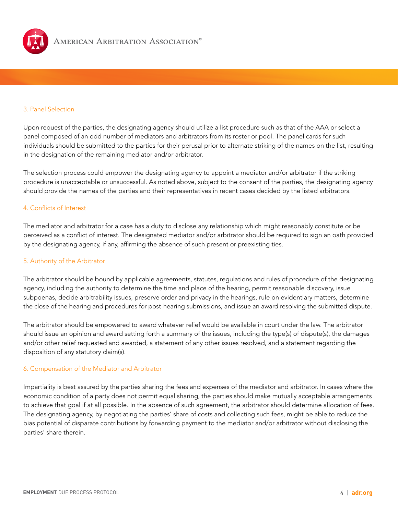

### 3. Panel Selection

Upon request of the parties, the designating agency should utilize a list procedure such as that of the AAA or select a panel composed of an odd number of mediators and arbitrators from its roster or pool. The panel cards for such individuals should be submitted to the parties for their perusal prior to alternate striking of the names on the list, resulting in the designation of the remaining mediator and/or arbitrator.

The selection process could empower the designating agency to appoint a mediator and/or arbitrator if the striking procedure is unacceptable or unsuccessful. As noted above, subject to the consent of the parties, the designating agency should provide the names of the parties and their representatives in recent cases decided by the listed arbitrators.

#### 4. Conflicts of Interest

The mediator and arbitrator for a case has a duty to disclose any relationship which might reasonably constitute or be perceived as a conflict of interest. The designated mediator and/or arbitrator should be required to sign an oath provided by the designating agency, if any, affirming the absence of such present or preexisting ties.

#### 5. Authority of the Arbitrator

The arbitrator should be bound by applicable agreements, statutes, regulations and rules of procedure of the designating agency, including the authority to determine the time and place of the hearing, permit reasonable discovery, issue subpoenas, decide arbitrability issues, preserve order and privacy in the hearings, rule on evidentiary matters, determine the close of the hearing and procedures for post-hearing submissions, and issue an award resolving the submitted dispute.

The arbitrator should be empowered to award whatever relief would be available in court under the law. The arbitrator should issue an opinion and award setting forth a summary of the issues, including the type(s) of dispute(s), the damages and/or other relief requested and awarded, a statement of any other issues resolved, and a statement regarding the disposition of any statutory claim(s).

#### 6. Compensation of the Mediator and Arbitrator

Impartiality is best assured by the parties sharing the fees and expenses of the mediator and arbitrator. In cases where the economic condition of a party does not permit equal sharing, the parties should make mutually acceptable arrangements to achieve that goal if at all possible. In the absence of such agreement, the arbitrator should determine allocation of fees. The designating agency, by negotiating the parties' share of costs and collecting such fees, might be able to reduce the bias potential of disparate contributions by forwarding payment to the mediator and/or arbitrator without disclosing the parties' share therein.